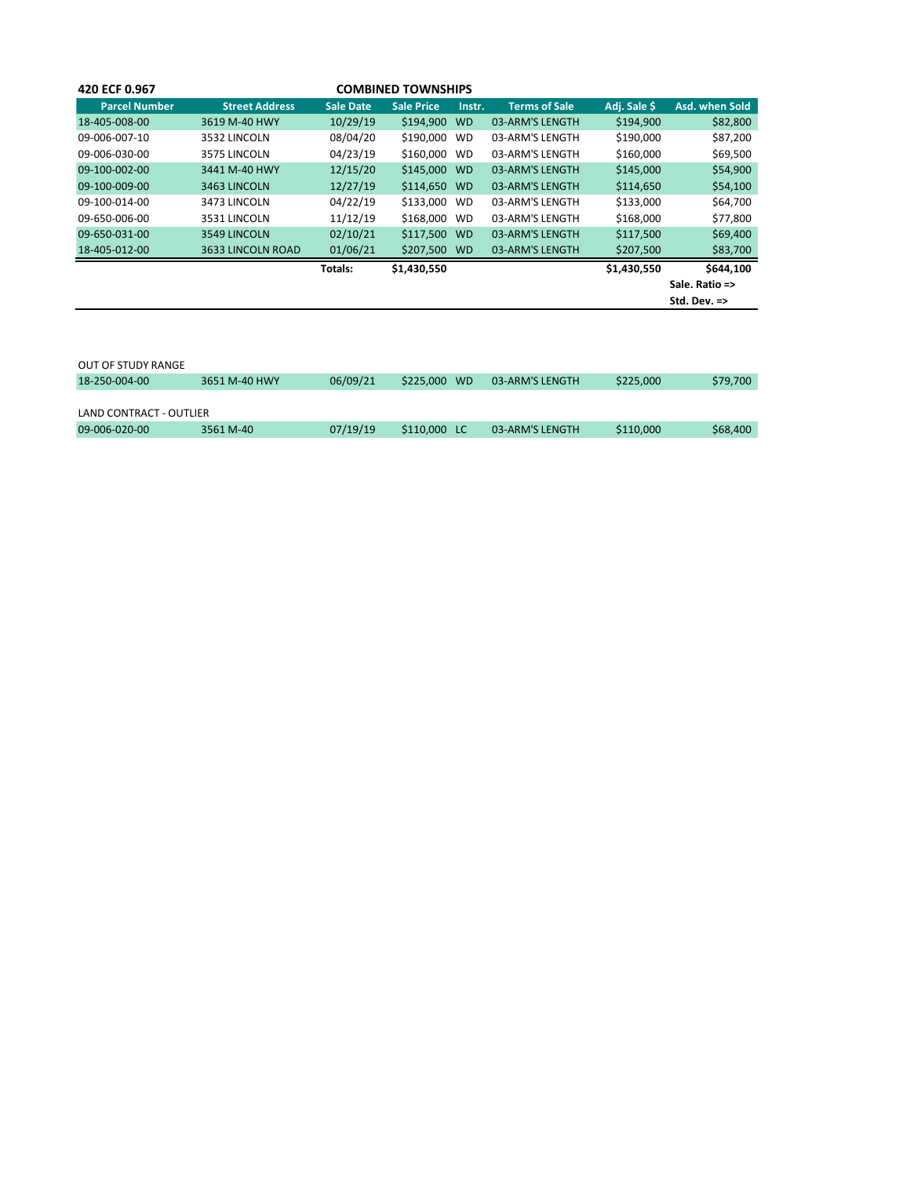| 420 ECF 0.967        |                       |           | <b>COMBINED TOWNSHIPS</b> |           |                      |              |                         |
|----------------------|-----------------------|-----------|---------------------------|-----------|----------------------|--------------|-------------------------|
| <b>Parcel Number</b> | <b>Street Address</b> | Sale Date | <b>Sale Price</b>         | Instr.    | <b>Terms of Sale</b> | Adj. Sale \$ | Asd. when Sold          |
| 18-405-008-00        | 3619 M-40 HWY         | 10/29/19  | \$194,900                 | <b>WD</b> | 03-ARM'S LENGTH      | \$194,900    | \$82,800                |
| 09-006-007-10        | 3532 LINCOLN          | 08/04/20  | \$190,000                 | <b>WD</b> | 03-ARM'S LENGTH      | \$190,000    | \$87,200                |
| 09-006-030-00        | 3575 LINCOLN          | 04/23/19  | \$160,000                 | <b>WD</b> | 03-ARM'S LENGTH      | \$160,000    | \$69,500                |
| 09-100-002-00        | 3441 M-40 HWY         | 12/15/20  | \$145,000 WD              |           | 03-ARM'S LENGTH      | \$145,000    | \$54,900                |
| 09-100-009-00        | 3463 LINCOLN          | 12/27/19  | \$114,650 WD              |           | 03-ARM'S LENGTH      | \$114,650    | \$54,100                |
| 09-100-014-00        | 3473 LINCOLN          | 04/22/19  | \$133,000                 | WD        | 03-ARM'S LENGTH      | \$133,000    | \$64,700                |
| 09-650-006-00        | 3531 LINCOLN          | 11/12/19  | \$168,000 WD              |           | 03-ARM'S LENGTH      | \$168,000    | \$77,800                |
| 09-650-031-00        | 3549 LINCOLN          | 02/10/21  | \$117,500                 | <b>WD</b> | 03-ARM'S LENGTH      | \$117,500    | \$69,400                |
| 18-405-012-00        | 3633 LINCOLN ROAD     | 01/06/21  | \$207,500 WD              |           | 03-ARM'S LENGTH      | \$207,500    | \$83,700                |
|                      |                       | Totals:   | \$1,430,550               |           |                      | \$1,430,550  | \$644.100               |
|                      |                       |           |                           |           |                      |              | Sale. Ratio =>          |
|                      |                       |           |                           |           |                      |              | Std. Dev. $\Rightarrow$ |

| OUT OF STUDY RANGE      |               |          |                        |                 |           |          |
|-------------------------|---------------|----------|------------------------|-----------------|-----------|----------|
| 18-250-004-00           | 3651 M-40 HWY | 06/09/21 | \$225,000<br><b>WD</b> | 03-ARM'S LENGTH | \$225,000 | \$79,700 |
|                         |               |          |                        |                 |           |          |
| LAND CONTRACT - OUTLIER |               |          |                        |                 |           |          |
| 09-006-020-00           | 3561 M-40     | 07/19/19 | \$110,000              | 03-ARM'S LENGTH | \$110,000 | \$68,400 |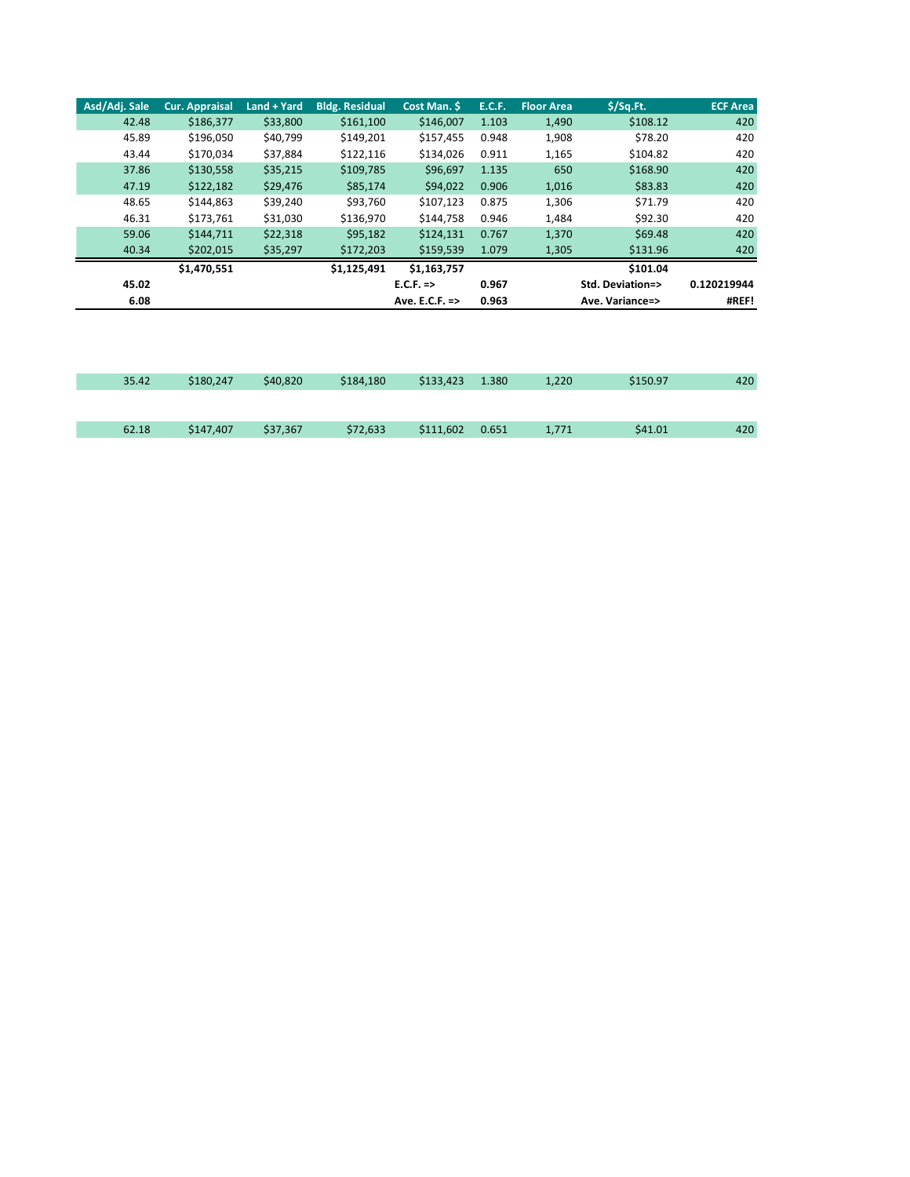| Asd/Adi. Sale | <b>Cur. Appraisal</b> | Land + Yard | <b>Bldg. Residual</b> | Cost Man. \$   | <b>E.C.F.</b> | <b>Floor Area</b> | $$$ /Sq.Ft.      | <b>ECF Area</b> |
|---------------|-----------------------|-------------|-----------------------|----------------|---------------|-------------------|------------------|-----------------|
| 42.48         | \$186,377             | \$33,800    | \$161,100             | \$146,007      | 1.103         | 1,490             | \$108.12         | 420             |
| 45.89         | \$196,050             | \$40,799    | \$149,201             | \$157,455      | 0.948         | 1,908             | \$78.20          | 420             |
| 43.44         | \$170.034             | \$37,884    | \$122,116             | \$134.026      | 0.911         | 1,165             | \$104.82         | 420             |
| 37.86         | \$130,558             | \$35,215    | \$109,785             | \$96,697       | 1.135         | 650               | \$168.90         | 420             |
| 47.19         | \$122,182             | \$29,476    | \$85,174              | \$94,022       | 0.906         | 1,016             | \$83.83          | 420             |
| 48.65         | \$144,863             | \$39,240    | \$93,760              | \$107,123      | 0.875         | 1,306             | \$71.79          | 420             |
| 46.31         | \$173,761             | \$31,030    | \$136,970             | \$144.758      | 0.946         | 1,484             | \$92.30          | 420             |
| 59.06         | \$144,711             | \$22,318    | \$95,182              | \$124,131      | 0.767         | 1,370             | \$69.48          | 420             |
| 40.34         | \$202,015             | \$35,297    | \$172,203             | \$159,539      | 1.079         | 1,305             | \$131.96         | 420             |
|               | \$1,470,551           |             | \$1,125,491           | \$1,163,757    |               |                   | \$101.04         |                 |
| 45.02         |                       |             |                       | $E.C.F.$ =>    | 0.967         |                   | Std. Deviation=> | 0.120219944     |
| 6.08          |                       |             |                       | Ave. E.C.F. => | 0.963         |                   | Ave. Variance=>  | #REF!           |

| 35.42 | \$180,247 | \$40,820 | \$184,180 | \$133,423 | 1.380 | 1,220 | \$150.97 | 420 |
|-------|-----------|----------|-----------|-----------|-------|-------|----------|-----|
|       |           |          |           |           |       |       |          |     |
| 62.18 | \$147,407 | \$37,367 | \$72,633  | \$111,602 | 0.651 | 1,771 | \$41.01  | 420 |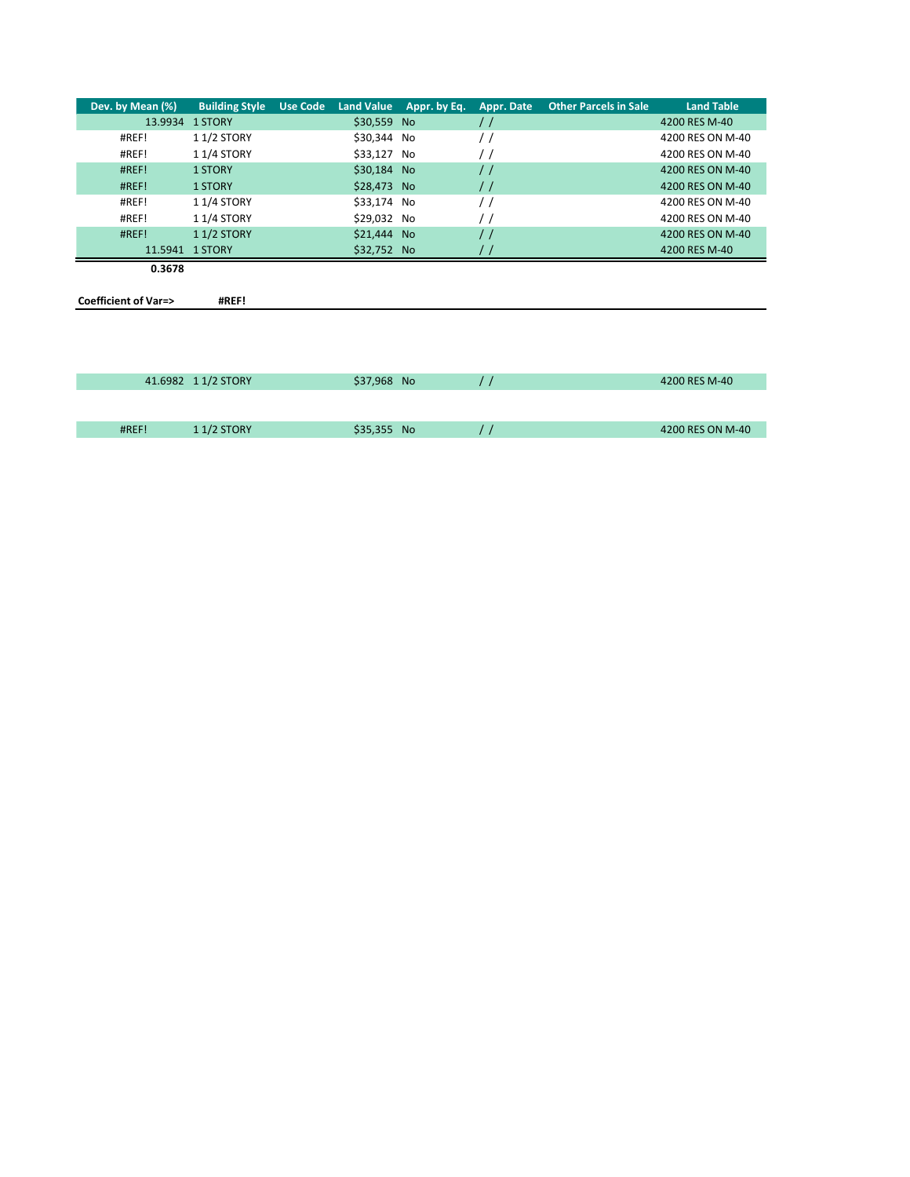| Dev. by Mean (%)               | <b>Building Style</b> | <b>Use Code</b> |             | Land Value Appr. by Eq. | Appr. Date    | <b>Other Parcels in Sale</b> | <b>Land Table</b> |
|--------------------------------|-----------------------|-----------------|-------------|-------------------------|---------------|------------------------------|-------------------|
| 13.9934                        | 1 STORY               |                 | \$30,559 No |                         | $\frac{1}{2}$ |                              | 4200 RES M-40     |
| #REF!                          | 11/2 STORY            |                 | \$30,344 No |                         | $\prime$ /    |                              | 4200 RES ON M-40  |
| #REF!                          | 11/4 STORY            |                 | \$33,127 No |                         | $\prime$ /    |                              | 4200 RES ON M-40  |
| #REF!                          | <b>1 STORY</b>        |                 | \$30,184 No |                         | $\frac{1}{2}$ |                              | 4200 RES ON M-40  |
| #REF!                          | <b>1 STORY</b>        |                 | \$28,473 No |                         | $\frac{1}{2}$ |                              | 4200 RES ON M-40  |
| #REF!                          | 11/4 STORY            |                 | \$33,174 No |                         | $\prime$ /    |                              | 4200 RES ON M-40  |
| #REF!                          | 11/4 STORY            |                 | \$29,032 No |                         | $\prime$ /    |                              | 4200 RES ON M-40  |
| #REF!                          | 11/2 STORY            |                 | \$21,444 No |                         | $\frac{1}{2}$ |                              | 4200 RES ON M-40  |
|                                | 11.5941 1 STORY       |                 | \$32,752 No |                         |               |                              | 4200 RES M-40     |
| 0.3678                         |                       |                 |             |                         |               |                              |                   |
|                                |                       |                 |             |                         |               |                              |                   |
| <b>Coefficient of Var=&gt;</b> | #REF!                 |                 |             |                         |               |                              |                   |
|                                |                       |                 |             |                         |               |                              |                   |
|                                |                       |                 |             |                         |               |                              |                   |
|                                |                       |                 |             |                         |               |                              |                   |
|                                |                       |                 |             |                         |               |                              |                   |
|                                | 41.6982 11/2 STORY    |                 | \$37,968 No |                         | $\prime$ /    |                              | 4200 RES M-40     |

| #REF!<br>17. | <b>STORY</b> | <b>No</b> | <b>ON M-40</b> |
|--------------|--------------|-----------|----------------|